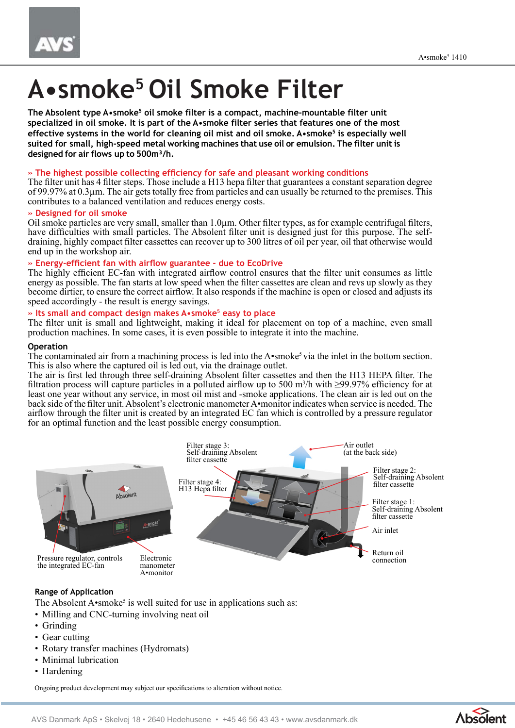# **A•smoke<sup>5</sup>Oil Smoke Filter**

The Absolent type A•smoke<sup>5</sup> oil smoke filter is a compact, machine-mountable filter unit **specialized in oil smoke. It is part of the A•smoke filter series that features one of the most effective systems in the world for cleaning oil mist and oil smoke. A•smoke<sup>5</sup> is especially well suited for small, high-speed metal working machines that use oil or emulsion. The filter unit is designed for air flows up to 500m³/h.** 

# **» The highest possible collecting efficiency for safe and pleasant working conditions**

The filter unit has 4 filter steps. Those include a H13 hepa filter that guarantees a constant separation degree of 99.97% at 0.3µm. The air gets totally free from particles and can usually be returned to the premises. This contributes to a balanced ventilation and reduces energy costs.

# **» Designed for oil smoke**

Oil smoke particles are very small, smaller than 1.0µm. Other filter types, as for example centrifugal filters, have difficulties with small particles. The Absolent filter unit is designed just for this purpose. The selfdraining, highly compact filter cassettes can recover up to 300 litres of oil per year, oil that otherwise would end up in the workshop air.

# **» Energy-efficient fan with airflow guarantee - due to EcoDrive**

The highly efficient EC-fan with integrated airflow control ensures that the filter unit consumes as little energy as possible. The fan starts at low speed when the filter cassettes are clean and revs up slowly as they become dirtier, to ensure the correct airflow. It also responds if the machine is open or closed and adjusts its speed accordingly - the result is energy savings.

# **» Its small and compact design makes A•smoke<sup>5</sup> easy to place**

The filter unit is small and lightweight, making it ideal for placement on top of a machine, even small production machines. In some cases, it is even possible to integrate it into the machine.

### **Operation**

The contaminated air from a machining process is led into the A•smoke<sup>5</sup> via the inlet in the bottom section. This is also where the captured oil is led out, via the drainage outlet.

The air is first led through three self-draining Absolent filter cassettes and then the H13 HEPA filter. The filtration process will capture particles in a polluted airflow up to 500 m<sup>3</sup>/h with  $\geq$ 99.97% efficiency for at least one year without any service, in most oil mist and -smoke applications. The clean air is led out on the back side of the filter unit. Absolent's electronic manometer A•monitor indicates when service is needed. The airflow through the filter unit is created by an integrated EC fan which is controlled by a pressure regulator for an optimal function and the least possible energy consumption.



# **Range of Application**

The Absolent  $A$ •smoke<sup>5</sup> is well suited for use in applications such as:

- Milling and CNC-turning involving neat oil
- Grinding
- Gear cutting
- Rotary transfer machines (Hydromats)
- Minimal lubrication
- Hardening

Ongoing product development may subject our specifications to alteration without notice.